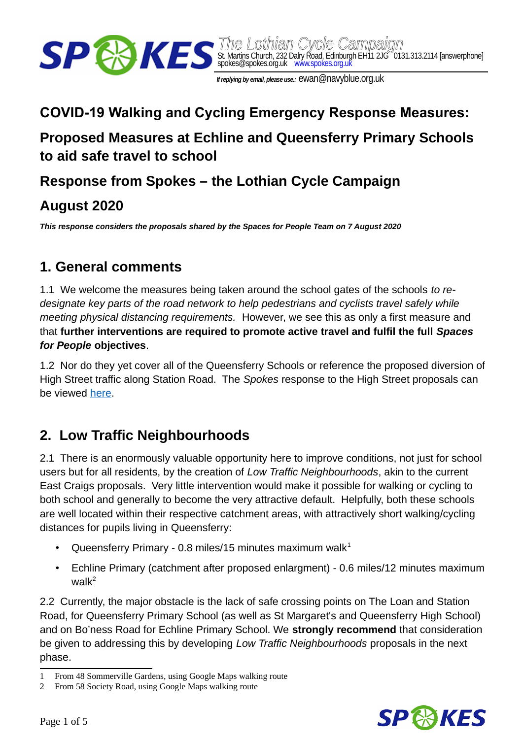

 *The Lothian Cycle Campaign* St. Martins Church, 232 Dalry Road, Edinburgh EH11 2JG 0131.313.2114 [answerphone] spokes@spokes.org.uk www.spokes.org.uk

 *If replying by email, please use.:* ewan@navyblue.org.uk

# **COVID-19 Walking and Cycling Emergency Response Measures: Proposed Measures at Echline and Queensferry Primary Schools to aid safe travel to school**

### **Response from Spokes – the Lothian Cycle Campaign**

### **August 2020**

*This response considers the proposals shared by the Spaces for People Team on 7 August 2020*

#### **1. General comments**

1.1 We welcome the measures being taken around the school gates of the schools *to redesignate key parts of the road network to help pedestrians and cyclists travel safely while meeting physical distancing requirements.* However, we see this as only a first measure and that **further interventions are required to promote active travel and fulfil the full** *Spaces for People* **objectives**.

1.2 Nor do they yet cover all of the Queensferry Schools or reference the proposed diversion of High Street traffic along Station Road. The *Spokes* response to the High Street proposals can be viewed [here.](http://www.spokes.org.uk/wp-content/uploads/2020/07/2007-Spokes-Response-to-Spaces-for-People-South-Queensferry-29-July-2020.pdf)

# **2. Low Traffic Neighbourhoods**

2.1 There is an enormously valuable opportunity here to improve conditions, not just for school users but for all residents, by the creation of *Low Traffic Neighbourhoods*, akin to the current East Craigs proposals. Very little intervention would make it possible for walking or cycling to both school and generally to become the very attractive default. Helpfully, both these schools are well located within their respective catchment areas, with attractively short walking/cycling distances for pupils living in Queensferry:

- Queensferry Primary 0.8 miles/[1](#page-0-0)5 minutes maximum walk $1$
- Echline Primary (catchment after proposed enlargment) 0.6 miles/12 minutes maximum wal $k^2$  $k^2$

2.2 Currently, the major obstacle is the lack of safe crossing points on The Loan and Station Road, for Queensferry Primary School (as well as St Margaret's and Queensferry High School) and on Bo'ness Road for Echline Primary School. We **strongly recommend** that consideration be given to addressing this by developing *Low Traffic Neighbourhoods* proposals in the next phase.



<span id="page-0-0"></span><sup>1</sup> From 48 Sommerville Gardens, using Google Maps walking route

<span id="page-0-1"></span><sup>2</sup> From 58 Society Road, using Google Maps walking route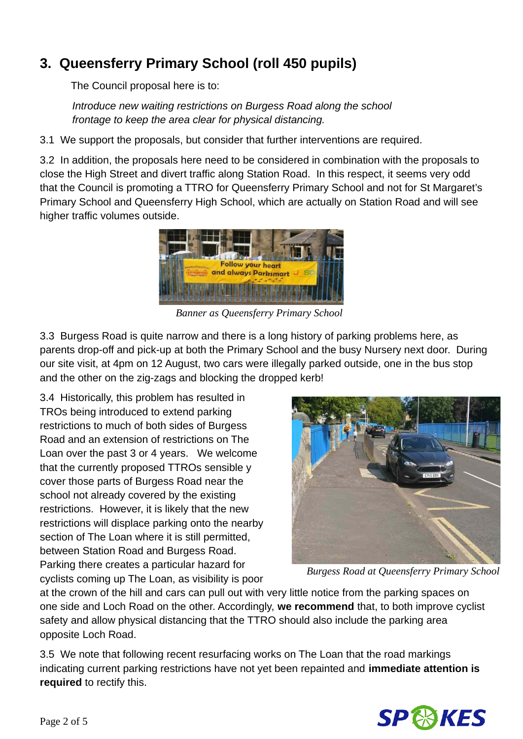# **3. Queensferry Primary School (roll 450 pupils)**

The Council proposal here is to:

*Introduce new waiting restrictions on Burgess Road along the school frontage to keep the area clear for physical distancing.*

3.1 We support the proposals, but consider that further interventions are required.

3.2 In addition, the proposals here need to be considered in combination with the proposals to close the High Street and divert traffic along Station Road. In this respect, it seems very odd that the Council is promoting a TTRO for Queensferry Primary School and not for St Margaret's Primary School and Queensferry High School, which are actually on Station Road and will see higher traffic volumes outside.



*Banner as Queensferry Primary School*

3.3 Burgess Road is quite narrow and there is a long history of parking problems here, as parents drop-off and pick-up at both the Primary School and the busy Nursery next door. During our site visit, at 4pm on 12 August, two cars were illegally parked outside, one in the bus stop and the other on the zig-zags and blocking the dropped kerb!

3.4 Historically, this problem has resulted in TROs being introduced to extend parking restrictions to much of both sides of Burgess Road and an extension of restrictions on The Loan over the past 3 or 4 years. We welcome that the currently proposed TTROs sensible y cover those parts of Burgess Road near the school not already covered by the existing restrictions. However, it is likely that the new restrictions will displace parking onto the nearby section of The Loan where it is still permitted, between Station Road and Burgess Road. Parking there creates a particular hazard for cyclists coming up The Loan, as visibility is poor



*Burgess Road at Queensferry Primary School*

at the crown of the hill and cars can pull out with very little notice from the parking spaces on one side and Loch Road on the other. Accordingly, **we recommend** that, to both improve cyclist safety and allow physical distancing that the TTRO should also include the parking area opposite Loch Road.

3.5 We note that following recent resurfacing works on The Loan that the road markings indicating current parking restrictions have not yet been repainted and **immediate attention is required** to rectify this.

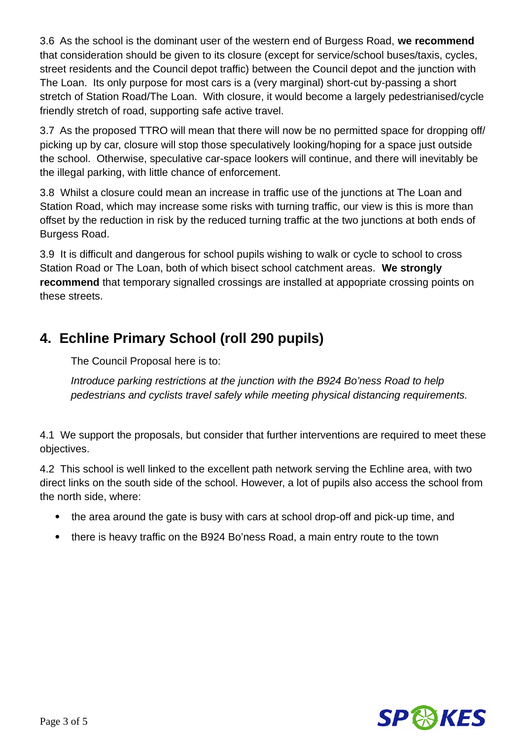3.6 As the school is the dominant user of the western end of Burgess Road, **we recommend**  that consideration should be given to its closure (except for service/school buses/taxis, cycles, street residents and the Council depot traffic) between the Council depot and the junction with The Loan. Its only purpose for most cars is a (very marginal) short-cut by-passing a short stretch of Station Road/The Loan. With closure, it would become a largely pedestrianised/cycle friendly stretch of road, supporting safe active travel.

3.7 As the proposed TTRO will mean that there will now be no permitted space for dropping off/ picking up by car, closure will stop those speculatively looking/hoping for a space just outside the school. Otherwise, speculative car-space lookers will continue, and there will inevitably be the illegal parking, with little chance of enforcement.

3.8 Whilst a closure could mean an increase in traffic use of the junctions at The Loan and Station Road, which may increase some risks with turning traffic, our view is this is more than offset by the reduction in risk by the reduced turning traffic at the two junctions at both ends of Burgess Road.

3.9 It is difficult and dangerous for school pupils wishing to walk or cycle to school to cross Station Road or The Loan, both of which bisect school catchment areas. **We strongly recommend** that temporary signalled crossings are installed at appopriate crossing points on these streets.

# **4. Echline Primary School (roll 290 pupils)**

The Council Proposal here is to:

*Introduce parking restrictions at the junction with the B924 Bo'ness Road to help pedestrians and cyclists travel safely while meeting physical distancing requirements.*

4.1 We support the proposals, but consider that further interventions are required to meet these objectives.

4.2 This school is well linked to the excellent path network serving the Echline area, with two direct links on the south side of the school. However, a lot of pupils also access the school from the north side, where:

- the area around the gate is busy with cars at school drop-off and pick-up time, and
- there is heavy traffic on the B924 Bo'ness Road, a main entry route to the town

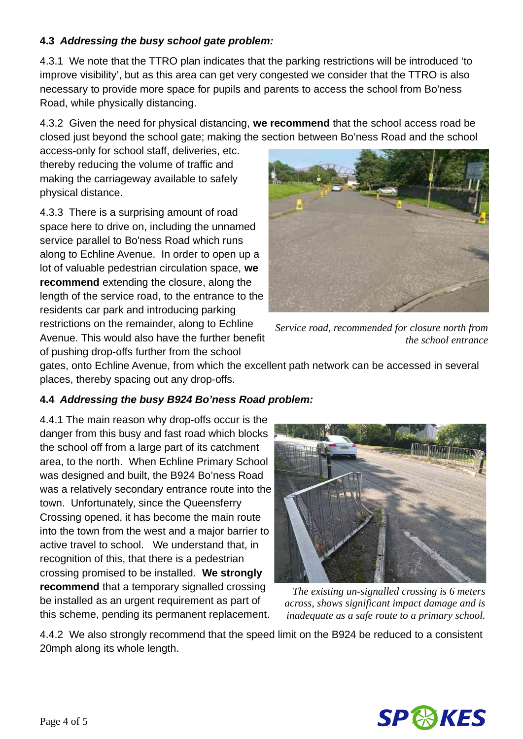#### **4.3** *Addressing the busy school gate problem:*

4.3.1 We note that the TTRO plan indicates that the parking restrictions will be introduced 'to improve visibility', but as this area can get very congested we consider that the TTRO is also necessary to provide more space for pupils and parents to access the school from Bo'ness Road, while physically distancing.

4.3.2 Given the need for physical distancing, **we recommend** that the school access road be closed just beyond the school gate; making the section between Bo'ness Road and the school

access-only for school staff, deliveries, etc. thereby reducing the volume of traffic and making the carriageway available to safely physical distance.

4.3.3 There is a surprising amount of road space here to drive on, including the unnamed service parallel to Bo'ness Road which runs along to Echline Avenue. In order to open up a lot of valuable pedestrian circulation space, **we recommend** extending the closure, along the length of the service road, to the entrance to the residents car park and introducing parking restrictions on the remainder, along to Echline Avenue. This would also have the further benefit of pushing drop-offs further from the school



*Service road, recommended for closure north from the school entrance*

gates, onto Echline Avenue, from which the excellent path network can be accessed in several places, thereby spacing out any drop-offs.

#### **4.4** *Addressing the busy B924 Bo'ness Road problem:*

4.4.1 The main reason why drop-offs occur is the danger from this busy and fast road which blocks the school off from a large part of its catchment area, to the north. When Echline Primary School was designed and built, the B924 Bo'ness Road was a relatively secondary entrance route into the town. Unfortunately, since the Queensferry Crossing opened, it has become the main route into the town from the west and a major barrier to active travel to school. We understand that, in recognition of this, that there is a pedestrian crossing promised to be installed. **We strongly recommend** that a temporary signalled crossing be installed as an urgent requirement as part of this scheme, pending its permanent replacement.



*The existing un-signalled crossing is 6 meters across, shows significant impact damage and is inadequate as a safe route to a primary school.*

4.4.2 We also strongly recommend that the speed limit on the B924 be reduced to a consistent 20mph along its whole length.